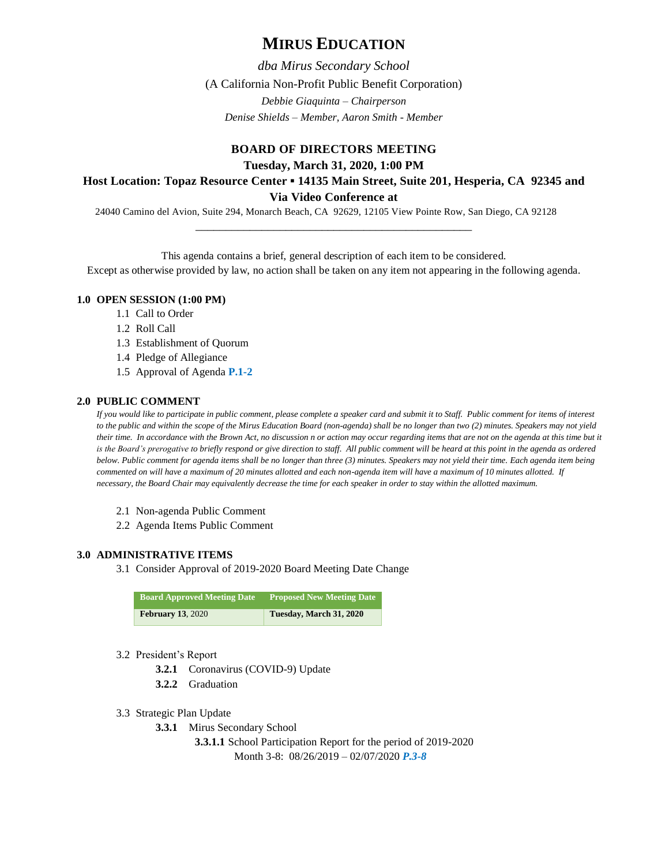# **MIRUS EDUCATION**

*dba Mirus Secondary School* (A California Non-Profit Public Benefit Corporation) *Debbie Giaquinta – Chairperson Denise Shields – Member, Aaron Smith - Member*

### **BOARD OF DIRECTORS MEETING**

**Tuesday, March 31, 2020, 1:00 PM**

## **Host Location: Topaz Resource Center ▪ 14135 Main Street, Suite 201, Hesperia, CA 92345 and**

**Via Video Conference at** 

\_\_\_\_\_\_\_\_\_\_\_\_\_\_\_\_\_\_\_\_\_\_\_\_\_\_\_\_\_\_\_\_\_\_\_\_\_\_\_\_\_\_\_\_\_\_

24040 Camino del Avion, Suite 294, Monarch Beach, CA 92629, 12105 View Pointe Row, San Diego, CA 92128

This agenda contains a brief, general description of each item to be considered.

Except as otherwise provided by law, no action shall be taken on any item not appearing in the following agenda.

#### **1.0 OPEN SESSION (1:00 PM)**

- 1.1 Call to Order
- 1.2 Roll Call
- 1.3 Establishment of Quorum
- 1.4 Pledge of Allegiance
- 1.5 Approval of Agenda **P.1-2**

#### **2.0 PUBLIC COMMENT**

*If you would like to participate in public comment, please complete a speaker card and submit it to Staff. Public comment for items of interest to the public and within the scope of the Mirus Education Board (non-agenda) shall be no longer than two (2) minutes. Speakers may not yield their time. In accordance with the Brown Act, no discussion n or action may occur regarding items that are not on the agenda at this time but it*  is the Board's prerogative to briefly respond or give direction to staff. All public comment will be heard at this point in the agenda as ordered *below. Public comment for agenda items shall be no longer than three (3) minutes. Speakers may not yield their time. Each agenda item being commented on will have a maximum of 20 minutes allotted and each non-agenda item will have a maximum of 10 minutes allotted. If necessary, the Board Chair may equivalently decrease the time for each speaker in order to stay within the allotted maximum.*

- 2.1 Non-agenda Public Comment
- 2.2 Agenda Items Public Comment

#### **3.0 ADMINISTRATIVE ITEMS**

3.1 Consider Approval of 2019-2020 Board Meeting Date Change

| <b>Board Approved Meeting Date</b> | <b>Proposed New Meeting Date</b> |
|------------------------------------|----------------------------------|
| <b>February 13, 2020</b>           | Tuesday, March 31, 2020          |

#### 3.2 President's Report

- **3.2.1** Coronavirus (COVID-9) Update
- **3.2.2** Graduation
- 3.3 Strategic Plan Update
	- **3.3.1** Mirus Secondary School

**3.3.1.1** School Participation Report for the period of 2019-2020 Month 3-8: 08/26/2019 – 02/07/2020 *P.3-8*